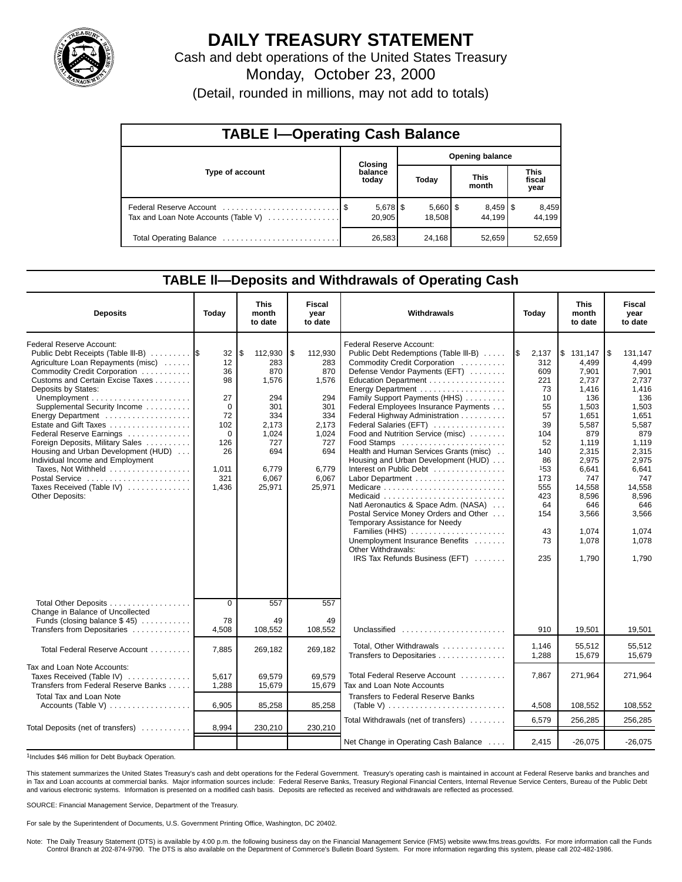

# **DAILY TREASURY STATEMENT**

Cash and debt operations of the United States Treasury

Monday, October 23, 2000

(Detail, rounded in millions, may not add to totals)

| <b>TABLE I-Operating Cash Balance</b> |  |                  |                        |                      |  |                                 |                        |                 |  |  |
|---------------------------------------|--|------------------|------------------------|----------------------|--|---------------------------------|------------------------|-----------------|--|--|
|                                       |  | Closing          | <b>Opening balance</b> |                      |  |                                 |                        |                 |  |  |
| Type of account                       |  | balance<br>today |                        | Today                |  | <b>This</b><br>month            | This<br>fiscal<br>year |                 |  |  |
| Tax and Loan Note Accounts (Table V)  |  | 20,905           |                        | $5,660$ \$<br>18,508 |  | $8,459$ $\frac{8}{3}$<br>44.199 |                        | 8,459<br>44.199 |  |  |
| Total Operating Balance               |  | 26,583           |                        | 24,168               |  | 52,659                          |                        | 52,659          |  |  |

### **TABLE ll—Deposits and Withdrawals of Operating Cash**

| <b>Deposits</b>                                                                                                                                                                                                                                                                                                                                                                                                                                                                                                          | Today                                                                                                    | <b>This</b><br>month<br>to date                                                                                       | Fiscal<br>year<br>to date                                                                                             | Withdrawals                                                                                                                                                                                                                                                                                                                                                                                                                                                                                                                                                                                                                                                                                                                                                                                 | Today                                                                                                                                                 | <b>This</b><br>month<br>to date                                                                                                                                                                 | <b>Fiscal</b><br>year<br>to date                                                                                                                                                                     |
|--------------------------------------------------------------------------------------------------------------------------------------------------------------------------------------------------------------------------------------------------------------------------------------------------------------------------------------------------------------------------------------------------------------------------------------------------------------------------------------------------------------------------|----------------------------------------------------------------------------------------------------------|-----------------------------------------------------------------------------------------------------------------------|-----------------------------------------------------------------------------------------------------------------------|---------------------------------------------------------------------------------------------------------------------------------------------------------------------------------------------------------------------------------------------------------------------------------------------------------------------------------------------------------------------------------------------------------------------------------------------------------------------------------------------------------------------------------------------------------------------------------------------------------------------------------------------------------------------------------------------------------------------------------------------------------------------------------------------|-------------------------------------------------------------------------------------------------------------------------------------------------------|-------------------------------------------------------------------------------------------------------------------------------------------------------------------------------------------------|------------------------------------------------------------------------------------------------------------------------------------------------------------------------------------------------------|
| Federal Reserve Account:<br>Public Debt Receipts (Table III-B)<br>Agriculture Loan Repayments (misc)<br>Commodity Credit Corporation<br>Customs and Certain Excise Taxes<br>Deposits by States:<br>Supplemental Security Income<br>Energy Department<br>Estate and Gift Taxes<br>Federal Reserve Earnings<br>Foreign Deposits, Military Sales<br>Housing and Urban Development (HUD)<br>Individual Income and Employment<br>Taxes, Not Withheld<br>Postal Service<br>Taxes Received (Table IV)<br><b>Other Deposits:</b> | 32<br>12<br>36<br>98<br>27<br>$\Omega$<br>72<br>102<br>$\mathbf 0$<br>126<br>26<br>1,011<br>321<br>1,436 | \$<br>112,930<br>283<br>870<br>1,576<br>294<br>301<br>334<br>2.173<br>1.024<br>727<br>694<br>6.779<br>6,067<br>25,971 | \$<br>112,930<br>283<br>870<br>1,576<br>294<br>301<br>334<br>2.173<br>1,024<br>727<br>694<br>6.779<br>6,067<br>25,971 | Federal Reserve Account:<br>Public Debt Redemptions (Table III-B)<br>Commodity Credit Corporation<br>Defense Vendor Payments (EFT)<br>Education Department<br>Energy Department<br>Family Support Payments (HHS)<br>Federal Employees Insurance Payments<br>Federal Highway Administration<br>Federal Salaries (EFT)<br>Food and Nutrition Service (misc)<br>Food Stamps<br>Health and Human Services Grants (misc)<br>Housing and Urban Development (HUD)<br>Interest on Public Debt<br>Medicare $\ldots \ldots \ldots \ldots \ldots \ldots \ldots \ldots$<br>Natl Aeronautics & Space Adm. (NASA)<br>Postal Service Money Orders and Other<br>Temporary Assistance for Needy<br>Families (HHS)<br>Unemployment Insurance Benefits<br>Other Withdrawals:<br>IRS Tax Refunds Business (EFT) | l\$<br>2,137<br>312<br>609<br>221<br>73<br>10<br>55<br>57<br>39<br>104<br>52<br>140<br>86<br>153<br>173<br>555<br>423<br>64<br>154<br>43<br>73<br>235 | \$131,147<br>4,499<br>7,901<br>2,737<br>1,416<br>136<br>1,503<br>1,651<br>5.587<br>879<br>1,119<br>2,315<br>2,975<br>6,641<br>747<br>14.558<br>8,596<br>646<br>3,566<br>1.074<br>1,078<br>1,790 | 1\$<br>131,147<br>4,499<br>7,901<br>2,737<br>1,416<br>136<br>1,503<br>1,651<br>5.587<br>879<br>1,119<br>2.315<br>2,975<br>6.641<br>747<br>14,558<br>8,596<br>646<br>3,566<br>1,074<br>1,078<br>1,790 |
| Total Other Deposits<br>Change in Balance of Uncollected<br>Funds (closing balance $$ 45$ )<br>Transfers from Depositaries                                                                                                                                                                                                                                                                                                                                                                                               | $\overline{0}$<br>78<br>4,508                                                                            | 557<br>49<br>108,552                                                                                                  | 557<br>49<br>108,552                                                                                                  | Unclassified                                                                                                                                                                                                                                                                                                                                                                                                                                                                                                                                                                                                                                                                                                                                                                                | 910                                                                                                                                                   | 19,501                                                                                                                                                                                          | 19,501                                                                                                                                                                                               |
| Total Federal Reserve Account                                                                                                                                                                                                                                                                                                                                                                                                                                                                                            | 7,885                                                                                                    | 269,182                                                                                                               | 269,182                                                                                                               | Total, Other Withdrawals<br>Transfers to Depositaries                                                                                                                                                                                                                                                                                                                                                                                                                                                                                                                                                                                                                                                                                                                                       | 1,146<br>1,288                                                                                                                                        | 55,512<br>15,679                                                                                                                                                                                | 55,512<br>15,679                                                                                                                                                                                     |
| Tax and Loan Note Accounts:<br>Taxes Received (Table IV)<br>Transfers from Federal Reserve Banks<br><b>Total Tax and Loan Note</b>                                                                                                                                                                                                                                                                                                                                                                                       | 5,617<br>1,288                                                                                           | 69,579<br>15,679                                                                                                      | 69,579<br>15,679                                                                                                      | Total Federal Reserve Account<br>Tax and Loan Note Accounts<br><b>Transfers to Federal Reserve Banks</b>                                                                                                                                                                                                                                                                                                                                                                                                                                                                                                                                                                                                                                                                                    | 7,867                                                                                                                                                 | 271,964                                                                                                                                                                                         | 271,964                                                                                                                                                                                              |
| Accounts (Table V)                                                                                                                                                                                                                                                                                                                                                                                                                                                                                                       | 6,905                                                                                                    | 85,258                                                                                                                | 85,258                                                                                                                | (Table V) $\ldots \ldots \ldots \ldots \ldots \ldots \ldots \ldots \ldots$                                                                                                                                                                                                                                                                                                                                                                                                                                                                                                                                                                                                                                                                                                                  | 4,508                                                                                                                                                 | 108,552                                                                                                                                                                                         | 108,552                                                                                                                                                                                              |
| Total Deposits (net of transfers)                                                                                                                                                                                                                                                                                                                                                                                                                                                                                        | 8,994                                                                                                    | 230,210                                                                                                               | 230,210                                                                                                               | Total Withdrawals (net of transfers)                                                                                                                                                                                                                                                                                                                                                                                                                                                                                                                                                                                                                                                                                                                                                        | 6,579                                                                                                                                                 | 256,285                                                                                                                                                                                         | 256,285                                                                                                                                                                                              |
|                                                                                                                                                                                                                                                                                                                                                                                                                                                                                                                          |                                                                                                          |                                                                                                                       |                                                                                                                       | Net Change in Operating Cash Balance                                                                                                                                                                                                                                                                                                                                                                                                                                                                                                                                                                                                                                                                                                                                                        | 2,415                                                                                                                                                 | $-26,075$                                                                                                                                                                                       | $-26,075$                                                                                                                                                                                            |

1Includes \$46 million for Debt Buyback Operation.

This statement summarizes the United States Treasury's cash and debt operations for the Federal Government. Treasury's operating cash is maintained in account at Federal Reserve banks and branches and in Tax and Loan accounts at commercial banks. Major information sources include: Federal Reserve Banks, Treasury Regional Financial Centers, Internal Revenue Service Centers, Bureau of the Public Debt<br>and various electroni

SOURCE: Financial Management Service, Department of the Treasury.

For sale by the Superintendent of Documents, U.S. Government Printing Office, Washington, DC 20402.

Note: The Daily Treasury Statement (DTS) is available by 4:00 p.m. the following business day on the Financial Management Service (FMS) website www.fms.treas.gov/dts. For more information call the Funds Control Branch at 202-874-9790. The DTS is also available on the Department of Commerce's Bulletin Board System. For more information regarding this system, please call 202-482-1986.